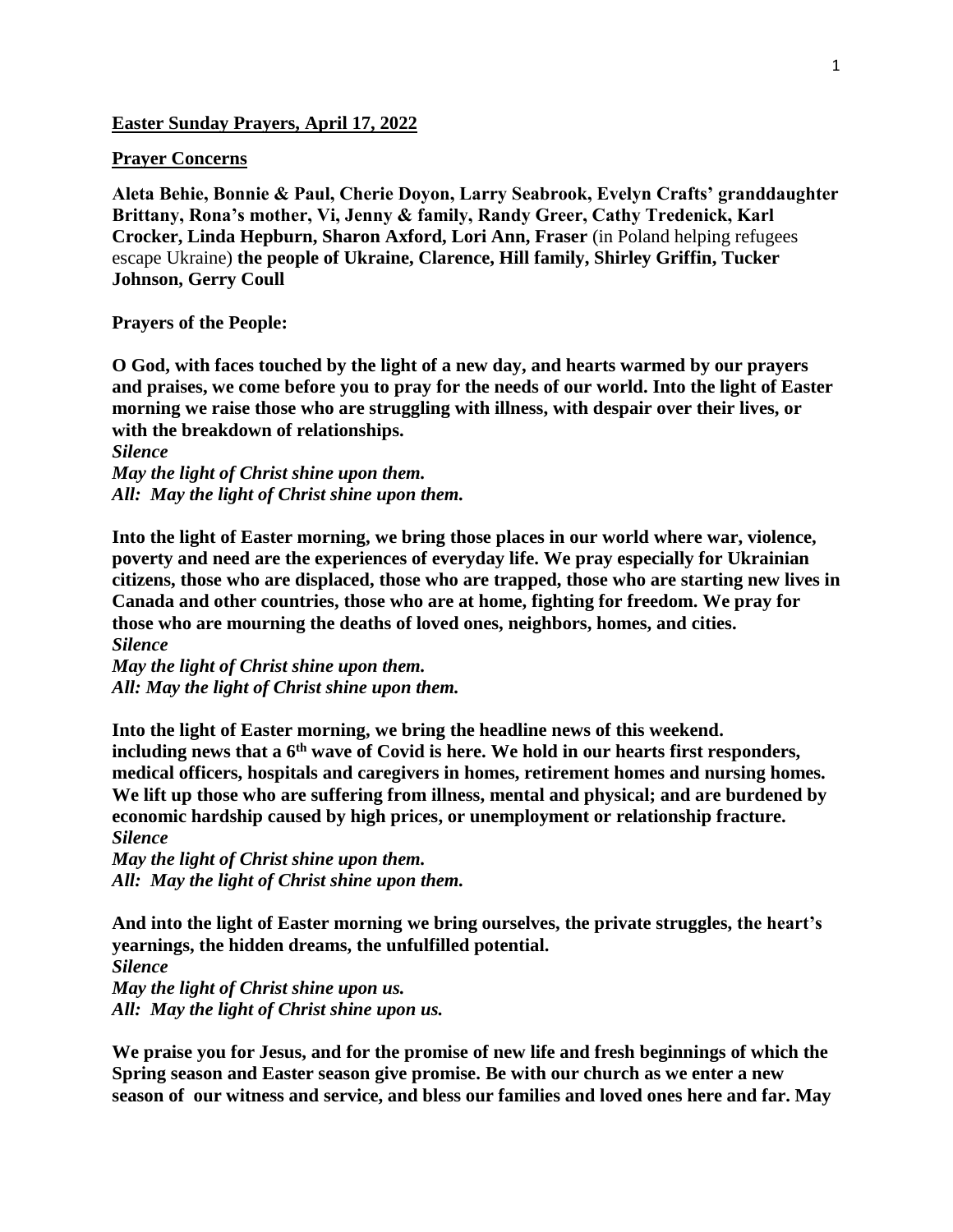**Easter Sunday Prayers, April 17, 2022**

## **Prayer Concerns**

**Aleta Behie, Bonnie & Paul, Cherie Doyon, Larry Seabrook, Evelyn Crafts' granddaughter Brittany, Rona's mother, Vi, Jenny & family, Randy Greer, Cathy Tredenick, Karl Crocker, Linda Hepburn, Sharon Axford, Lori Ann, Fraser** (in Poland helping refugees escape Ukraine) **the people of Ukraine, Clarence, Hill family, Shirley Griffin, Tucker Johnson, Gerry Coull**

**Prayers of the People:** 

**O God, with faces touched by the light of a new day, and hearts warmed by our prayers and praises, we come before you to pray for the needs of our world. Into the light of Easter morning we raise those who are struggling with illness, with despair over their lives, or with the breakdown of relationships.**

*Silence May the light of Christ shine upon them. All: May the light of Christ shine upon them.*

**Into the light of Easter morning, we bring those places in our world where war, violence, poverty and need are the experiences of everyday life. We pray especially for Ukrainian citizens, those who are displaced, those who are trapped, those who are starting new lives in Canada and other countries, those who are at home, fighting for freedom. We pray for those who are mourning the deaths of loved ones, neighbors, homes, and cities.** *Silence*

*May the light of Christ shine upon them. All: May the light of Christ shine upon them.*

**Into the light of Easter morning, we bring the headline news of this weekend. including news that a 6th wave of Covid is here. We hold in our hearts first responders, medical officers, hospitals and caregivers in homes, retirement homes and nursing homes. We lift up those who are suffering from illness, mental and physical; and are burdened by economic hardship caused by high prices, or unemployment or relationship fracture.** *Silence*

*May the light of Christ shine upon them. All: May the light of Christ shine upon them.*

**And into the light of Easter morning we bring ourselves, the private struggles, the heart's yearnings, the hidden dreams, the unfulfilled potential.**

*Silence May the light of Christ shine upon us. All: May the light of Christ shine upon us.*

**We praise you for Jesus, and for the promise of new life and fresh beginnings of which the Spring season and Easter season give promise. Be with our church as we enter a new season of our witness and service, and bless our families and loved ones here and far. May**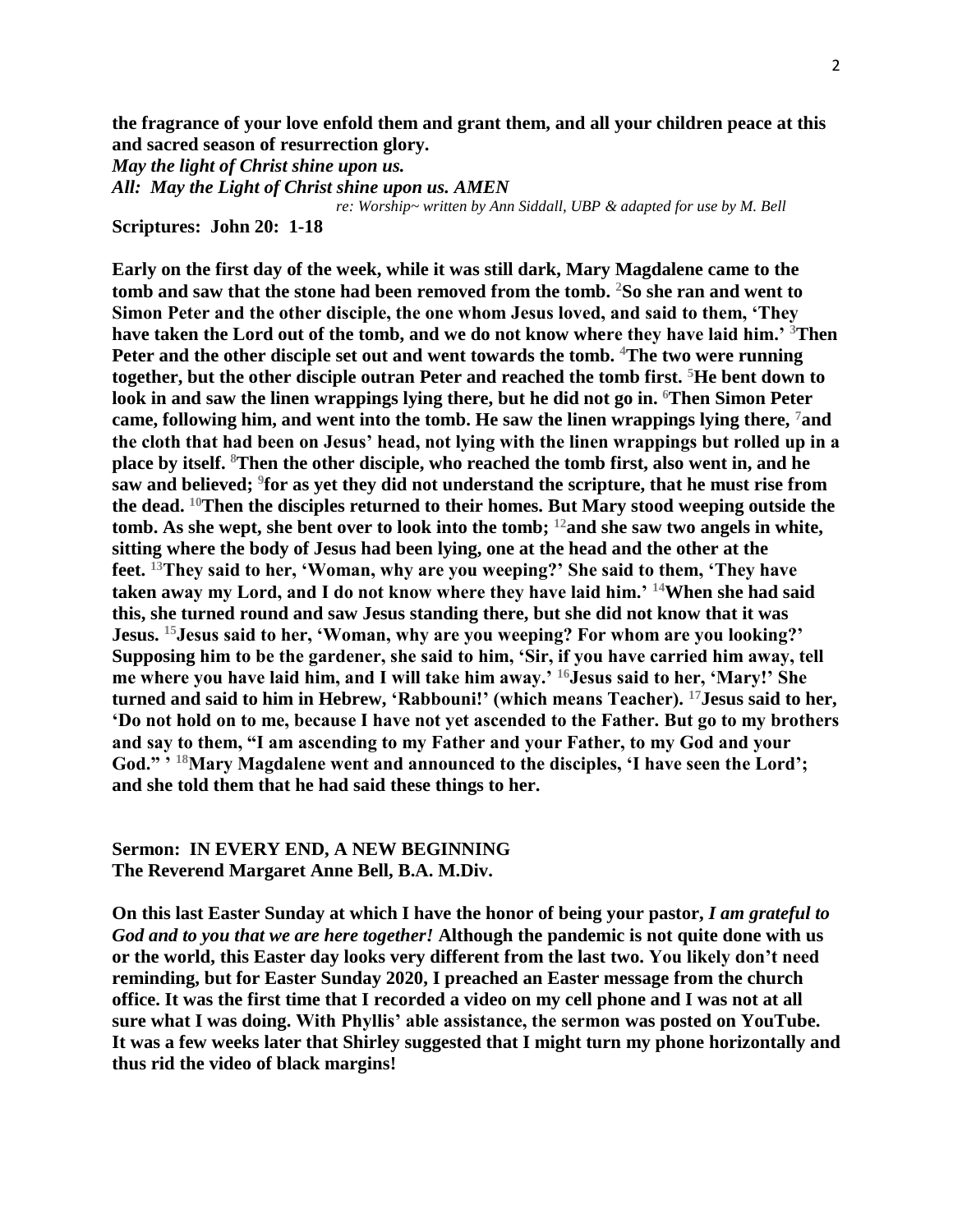**the fragrance of your love enfold them and grant them, and all your children peace at this and sacred season of resurrection glory.**

*May the light of Christ shine upon us.*

*All: May the Light of Christ shine upon us. AMEN* 

*re: Worship~ written by Ann Siddall, UBP & adapted for use by M. Bell*

**Scriptures: John 20: 1-18**

**Early on the first day of the week, while it was still dark, Mary Magdalene came to the tomb and saw that the stone had been removed from the tomb. <sup>2</sup>So she ran and went to Simon Peter and the other disciple, the one whom Jesus loved, and said to them, 'They have taken the Lord out of the tomb, and we do not know where they have laid him.' <sup>3</sup>Then Peter and the other disciple set out and went towards the tomb. <sup>4</sup>The two were running together, but the other disciple outran Peter and reached the tomb first. <sup>5</sup>He bent down to look in and saw the linen wrappings lying there, but he did not go in. <sup>6</sup>Then Simon Peter came, following him, and went into the tomb. He saw the linen wrappings lying there, <sup>7</sup>and the cloth that had been on Jesus' head, not lying with the linen wrappings but rolled up in a place by itself. <sup>8</sup>Then the other disciple, who reached the tomb first, also went in, and he saw and believed; <sup>9</sup> for as yet they did not understand the scripture, that he must rise from the dead. <sup>10</sup>Then the disciples returned to their homes. But Mary stood weeping outside the tomb. As she wept, she bent over to look into the tomb; <sup>12</sup>and she saw two angels in white, sitting where the body of Jesus had been lying, one at the head and the other at the feet. <sup>13</sup>They said to her, 'Woman, why are you weeping?' She said to them, 'They have taken away my Lord, and I do not know where they have laid him.' <sup>14</sup>When she had said this, she turned round and saw Jesus standing there, but she did not know that it was Jesus. <sup>15</sup>Jesus said to her, 'Woman, why are you weeping? For whom are you looking?' Supposing him to be the gardener, she said to him, 'Sir, if you have carried him away, tell me where you have laid him, and I will take him away.' <sup>16</sup>Jesus said to her, 'Mary!' She turned and said to him in Hebrew, 'Rabbouni!' (which means Teacher). <sup>17</sup>Jesus said to her, 'Do not hold on to me, because I have not yet ascended to the Father. But go to my brothers and say to them, "I am ascending to my Father and your Father, to my God and your God." ' <sup>18</sup>Mary Magdalene went and announced to the disciples, 'I have seen the Lord'; and she told them that he had said these things to her.**

## **Sermon: IN EVERY END, A NEW BEGINNING The Reverend Margaret Anne Bell, B.A. M.Div.**

**On this last Easter Sunday at which I have the honor of being your pastor,** *I am grateful to God and to you that we are here together!* **Although the pandemic is not quite done with us or the world, this Easter day looks very different from the last two. You likely don't need reminding, but for Easter Sunday 2020, I preached an Easter message from the church office. It was the first time that I recorded a video on my cell phone and I was not at all sure what I was doing. With Phyllis' able assistance, the sermon was posted on YouTube. It was a few weeks later that Shirley suggested that I might turn my phone horizontally and thus rid the video of black margins!**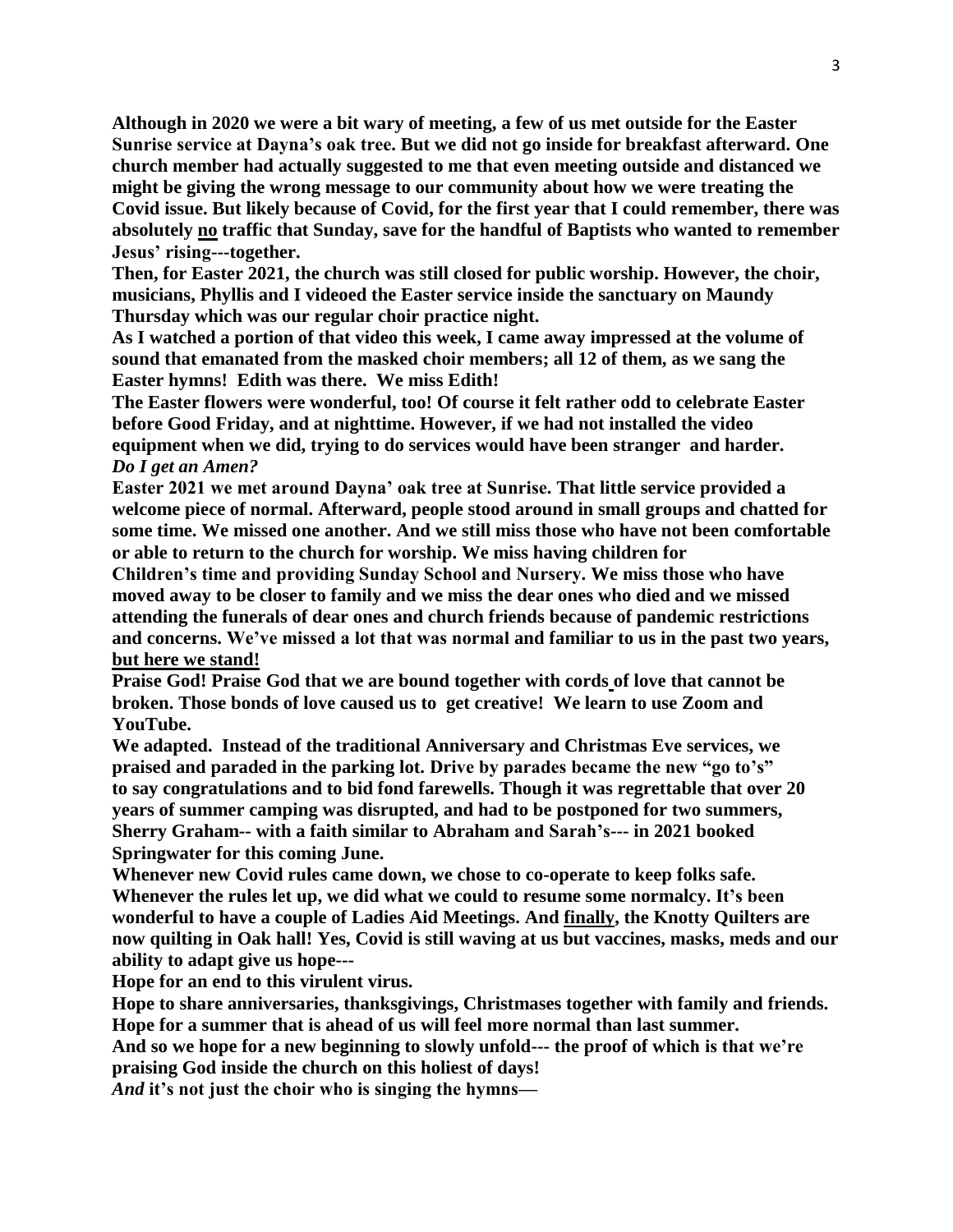**Although in 2020 we were a bit wary of meeting, a few of us met outside for the Easter Sunrise service at Dayna's oak tree. But we did not go inside for breakfast afterward. One church member had actually suggested to me that even meeting outside and distanced we might be giving the wrong message to our community about how we were treating the Covid issue. But likely because of Covid, for the first year that I could remember, there was absolutely no traffic that Sunday, save for the handful of Baptists who wanted to remember Jesus' rising---together.**

**Then, for Easter 2021, the church was still closed for public worship. However, the choir, musicians, Phyllis and I videoed the Easter service inside the sanctuary on Maundy Thursday which was our regular choir practice night.**

**As I watched a portion of that video this week, I came away impressed at the volume of sound that emanated from the masked choir members; all 12 of them, as we sang the Easter hymns! Edith was there. We miss Edith!**

**The Easter flowers were wonderful, too! Of course it felt rather odd to celebrate Easter before Good Friday, and at nighttime. However, if we had not installed the video equipment when we did, trying to do services would have been stranger and harder.**  *Do I get an Amen?*

**Easter 2021 we met around Dayna' oak tree at Sunrise. That little service provided a welcome piece of normal. Afterward, people stood around in small groups and chatted for some time. We missed one another. And we still miss those who have not been comfortable or able to return to the church for worship. We miss having children for** 

**Children's time and providing Sunday School and Nursery. We miss those who have moved away to be closer to family and we miss the dear ones who died and we missed attending the funerals of dear ones and church friends because of pandemic restrictions and concerns. We've missed a lot that was normal and familiar to us in the past two years, but here we stand!** 

**Praise God! Praise God that we are bound together with cords of love that cannot be broken. Those bonds of love caused us to get creative! We learn to use Zoom and YouTube.**

**We adapted. Instead of the traditional Anniversary and Christmas Eve services, we praised and paraded in the parking lot. Drive by parades became the new "go to's" to say congratulations and to bid fond farewells. Though it was regrettable that over 20 years of summer camping was disrupted, and had to be postponed for two summers, Sherry Graham-- with a faith similar to Abraham and Sarah's--- in 2021 booked Springwater for this coming June.**

**Whenever new Covid rules came down, we chose to co-operate to keep folks safe. Whenever the rules let up, we did what we could to resume some normalcy. It's been wonderful to have a couple of Ladies Aid Meetings. And finally, the Knotty Quilters are now quilting in Oak hall! Yes, Covid is still waving at us but vaccines, masks, meds and our ability to adapt give us hope---**

**Hope for an end to this virulent virus.**

**Hope to share anniversaries, thanksgivings, Christmases together with family and friends. Hope for a summer that is ahead of us will feel more normal than last summer.**

**And so we hope for a new beginning to slowly unfold--- the proof of which is that we're praising God inside the church on this holiest of days!** 

*And* **it's not just the choir who is singing the hymns—**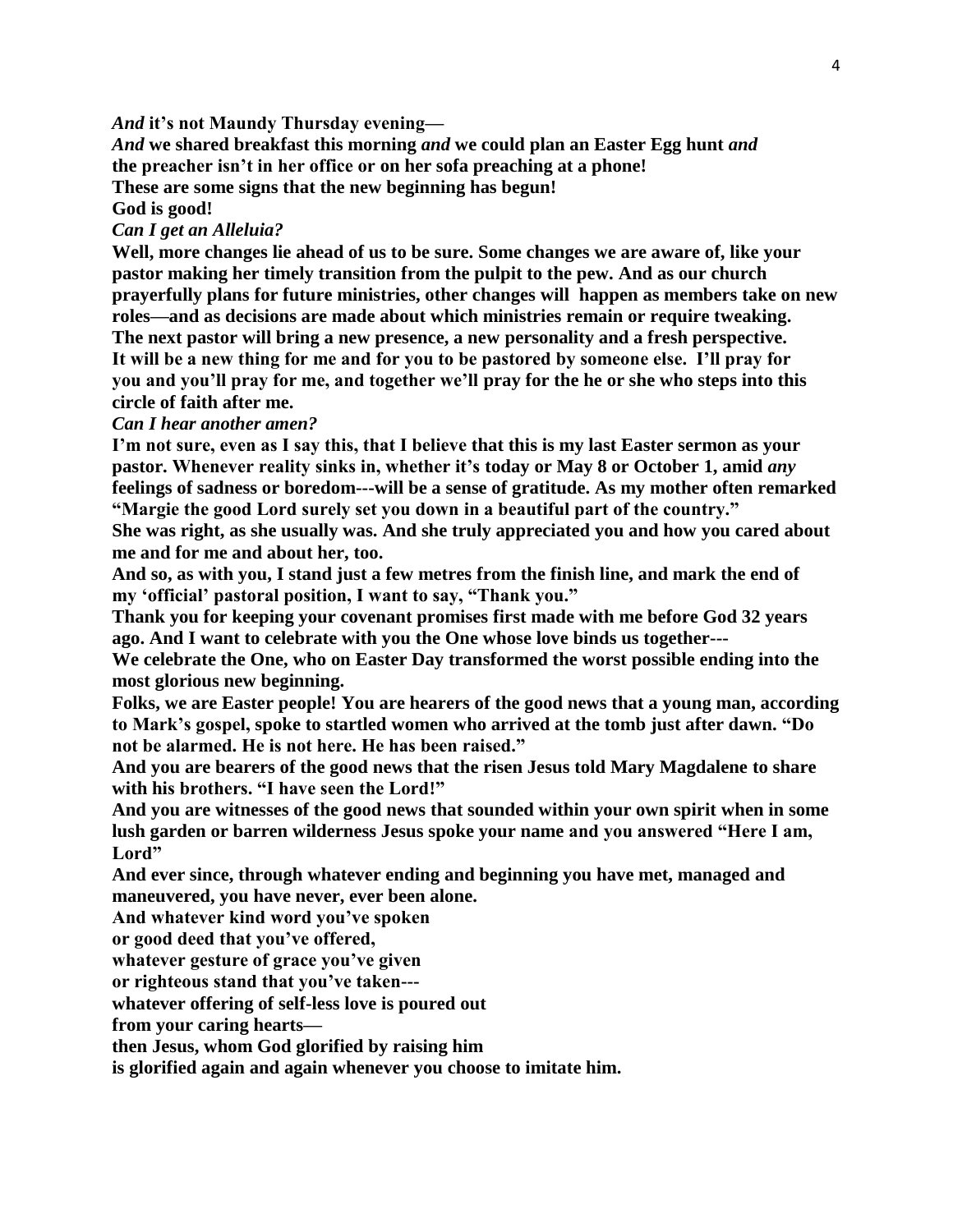*And* **it's not Maundy Thursday evening—**

*And* **we shared breakfast this morning** *and* **we could plan an Easter Egg hunt** *and* **the preacher isn't in her office or on her sofa preaching at a phone! These are some signs that the new beginning has begun!**

**God is good!**

## *Can I get an Alleluia?*

**Well, more changes lie ahead of us to be sure. Some changes we are aware of, like your pastor making her timely transition from the pulpit to the pew. And as our church prayerfully plans for future ministries, other changes will happen as members take on new roles—and as decisions are made about which ministries remain or require tweaking. The next pastor will bring a new presence, a new personality and a fresh perspective. It will be a new thing for me and for you to be pastored by someone else. I'll pray for you and you'll pray for me, and together we'll pray for the he or she who steps into this circle of faith after me.**

## *Can I hear another amen?*

**I'm not sure, even as I say this, that I believe that this is my last Easter sermon as your pastor. Whenever reality sinks in, whether it's today or May 8 or October 1, amid** *any* **feelings of sadness or boredom---will be a sense of gratitude. As my mother often remarked "Margie the good Lord surely set you down in a beautiful part of the country." She was right, as she usually was. And she truly appreciated you and how you cared about me and for me and about her, too.**

**And so, as with you, I stand just a few metres from the finish line, and mark the end of my 'official' pastoral position, I want to say, "Thank you."**

**Thank you for keeping your covenant promises first made with me before God 32 years ago. And I want to celebrate with you the One whose love binds us together---**

**We celebrate the One, who on Easter Day transformed the worst possible ending into the most glorious new beginning.**

**Folks, we are Easter people! You are hearers of the good news that a young man, according to Mark's gospel, spoke to startled women who arrived at the tomb just after dawn. "Do not be alarmed. He is not here. He has been raised."** 

**And you are bearers of the good news that the risen Jesus told Mary Magdalene to share with his brothers. "I have seen the Lord!"**

**And you are witnesses of the good news that sounded within your own spirit when in some lush garden or barren wilderness Jesus spoke your name and you answered "Here I am, Lord"**

**And ever since, through whatever ending and beginning you have met, managed and maneuvered, you have never, ever been alone.**

**And whatever kind word you've spoken** 

**or good deed that you've offered,**

**whatever gesture of grace you've given**

**or righteous stand that you've taken---**

**whatever offering of self-less love is poured out**

**from your caring hearts—**

**then Jesus, whom God glorified by raising him** 

**is glorified again and again whenever you choose to imitate him.**